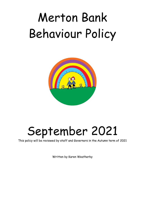# Merton Bank Behaviour Policy



## September 2021

This policy will be reviewed by staff and Governors in the Autumn term of 2021

Written by Karen Weatherby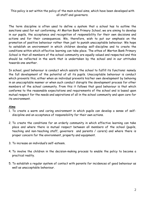This policy is set within the policy of the main school aims, which have been developed with all staff and governors.

The term discipline is often used to define a system that a school has to outline the sanctions used for not conforming. At Merton Bank Primary School, we are aiming to develop in our pupils, the acceptance and recognition of responsibility for their own decisions and actions and for their consequences. We, therefore, wish to put our emphasis on the promotion of positive behaviour rather than just to punish unacceptable behaviour. We hope to establish an environment in which children develop self-discipline and to create the conditions within which effective learning can take place. The ethos of Merton Bank Primary School is that all members of the school community are equally valued and respected and this should be reflected in the work that is undertaken by the school and in our attitudes towards one another.

In school, good behaviour is conduct which assists the school to fulfill its functions: namely the full development of the potential of all its pupils. Unacceptable behaviour is conduct which prevents this, either when an individual prevents his/her own development by behaving in an unacceptable manner or when such conduct disrupts the development process for other members of the school community. From this it follows that good behaviour is that which conforms to the reasonable expectations and requirements of the school and is based upon mutual respect for the needs and aspirations of all in the school community and upon care for its environment.

#### **Aims**

- 1. To create a warm and caring environment in which pupils can develop a sense of selfdiscipline and an acceptance of responsibility for their own actions.
- 2. To create the conditions for an orderly community in which effective learning can take place and where there is mutual respect between all members of the school (pupils, teaching and non-teaching staff, governors and parents / carers) and where there is proper concern for the environment, property and equipment.
- 3. To increase an individual's self-esteem.
- 4. To involve the children in the decision-making process to enable the policy to become a practical reality.
- 5. To establish a regular system of contact with parents for incidences of good behaviour as well as unacceptable behaviour.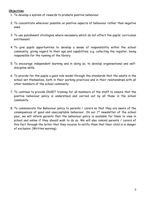#### **Objectives**

- 1. To develop a system of rewards to promote positive behaviour.
- 2. To concentrate wherever possible on positive aspects of behaviour rather than negative ones.
- 3. To use punishment strategies where necessary which do not affect the pupils' curriculum entitlement.
- 4. To give pupils opportunities to develop a sense of responsibility within the school community, giving regard to their age and capabilities. e.g. collecting the register, being responsible for the running of the library.
- 5. To encourage independent learning and in doing so, to develop organisational and selfdiscipline skills.
- 6. To provide for the pupils a good role model through the standards that the adults in the school set themselves, both in their working practices and in their relationships with all other members of the school community.
- 7. To continue to provide INSET training for all members of the staff to ensure that the positive behaviour policy is understood and carried out by all those in the school community.
- 8. To communicate the Behaviour policy to parents / carers so that they are aware of the consequences of good and unacceptable behaviour. On our 1<sup>st</sup> newsletter of the school year, we will inform parents that the behaviour policy is available for them to view in school and online if they should wish to do so. We will also remind parents / carers of this fact through the letter that they receive to notify them that their child is in danger of exclusion. (Written warning)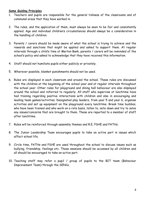#### **Some Guiding Principles**

- 1. Teachers and pupils are responsible for the general tidiness of the classrooms and of communal areas that they have worked in.
- 2. The rules, and the application of them, must always be seen to be fair and consistently applied. Age and individual children's circumstances should always be a consideration in the handling of children.
- 3. Parents / carers should be made aware of what the school is trying to achieve and the rewards and sanctions that might be applied and asked to support them. At regular intervals through a child's time at Merton Bank, parents / carers will be reminded of the school's policy and asked to acknowledge that they have received this information.
- 4. Staff should not humiliate pupils either publicly or privately.
- 5. Wherever possible, blanket punishments should not be used.
- 6. Rules are displayed in each classroom and around the school. These rules are discussed with the children at the beginning of the school year and at regular intervals throughout the school year. Other rules for playground and dining hall behaviour are also displayed around the school and referred to regularly. All staff who supervise at lunchtime have had training regarding positive interactions with children and also in encouraging and leading team games/activities. Designated play leaders, from year 5 and year 6, organise activities and set up equipment on the playground every lunchtime. Break time buddies, who have been trained and who work on a rota basis, listen to, note down and try to solve any issues/concerns that are brought to them. These are reported to a member of staff after lunchtime.
- 7. Rules will be reinforced through assembly themes and R.E, PSHE and PATHs.
- 8. The Junior Leadership Team encourages pupils to take an active part in issues which affect school life.
- 9. Circle time, PATHs and PSHE are used throughout the school to discuss issues such as bullying, friendship, feelings etc. These sessions should be accessed by all children and all should be encouraged to take an active part.
- 10. Teaching staff may refer a pupil / group of pupils to the BIT team (Behaviour Improvement Team) through the SENCo.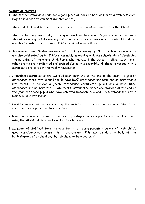#### **System of rewards**

- 1. The teacher rewards a child for a good piece of work or behaviour with a stamp/sticker, Dojos and a positive comment (written or oral).
- 2. The child is allowed to take the piece of work to show another adult within the school.
- 3. The teacher may award dojos for good work or behaviour. Dojos are added up each Thursday evening and the winning child from each class receives a certificate. All children are able to cash in their dojos on Friday or Monday lunchtimes.
- 4. Achievement certificates are awarded at Friday's Assembly. Out of school achievements are also celebrated during Friday's Assembly in keeping with the school's aim of developing the potential of the whole child. Pupils who represent the school in either sporting or other events are highlighted and praised during this assembly. All those rewarded with a certificate are listed in the weekly newsletter.
- 5. Attendance certificates are awarded each term and at the end of the year. To gain an attendance certificate, a pupil should have 100% attendance per term and no more than 2 late marks. To achieve a yearly attendance certificate, pupils should have 100% attendance and no more than 3 late marks. Attendance prizes are awarded at the end of the year for those pupils who have achieved between 99% and 100% attendance with a maximum of 3 late marks.
- 6. Good behaviour can be rewarded by the earning of privileges. For example, time to be spent on the computer can be earned etc.
- 7. Negative behaviour can lead to the loss of privileges. For example, time on the playground, using the MUGA, whole school events, class trips etc.
- 8. Members of staff will take the opportunity to inform parents / carers of their child's good work/behaviour where this is appropriate. This may be done verbally at the beginning/end of a school day, by telephone or by a postcard.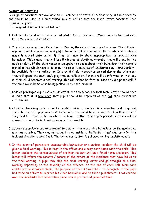#### **System of Sanctions**

A range of sanctions are available to all members of staff. Sanctions vary in their severity and should be used in a hierarchical way to ensure that the most severe sanctions have maximum impact.

The range of sanctions are as follows:-

- 1. Holding the hand of the member of staff during playtimes. (Most likely to be used with Early Years/Infant children)
- 2. In each classroom, from Reception to Year 6, the expectations are the same. The following applies to each session (am and pm) after an initial warning about their behaviour a child's name is moved onto amber if they continue to show inappropriate or unacceptable behaviour. This means they will lose 5 minutes of playtime, whereby they will stand by the adult on duty. If the child needs to be spoken to again about their behaviour their name is moved to red which results in losing the first 15 minutes of lunchtime play - Mrs Clark will be available for this reflection. If a child finds themselves on red during the afternoon they will spend the next day's playtime on reflection. Parents will be informed on that day if their child receives a red warning, this will either be face-to-face or via a phone call if the child walks home or is being picked up by another adult.
- 3. Loss of privileges e.g. playtimes, selection for the school football team. Staff should bear in mind that it is privileges that pupils should be deprived of and not their curriculum entitlement.
- 4. Class teachers may refer a pupil / pupils to Miss Brussels or Mrs Weatherby if they feel the behaviour of a pupil merits it. Referral to the Head teacher, Mrs Clark, will be made if they feel that the matter needs to be taken further. The pupil's parents / carers will be spoken to about the incident as soon as it is possible.
- 5. Midday supervisors are encouraged to deal with unacceptable behaviour by themselves as much as possible. They may ask a pupil to go inside to 'Reflection time' club or refer the incident directly to Mrs Clark. The behaviour system is followed during lunchtimes also.
- 6. In the event of persistent unacceptable behaviour or a serious incident the child will be given a final warning. This is kept in the office and a copy sent home with the child. This letter explains the consequences of another incident will be a fixed term exclusion. This letter will inform the parents / carers of the nature of the incidents that have led up to the final warning. A pupil may skip the first warning letter and go straight to a final warning depending on the severity of the offence. At the end of each half term each child's profile is 'wiped clean'. The purpose of this is two-fold: - To recognise if the pupil has made an effort to improve his / her behaviour and so that a punishment is not carried over for incidents that have taken place over a protracted period of time.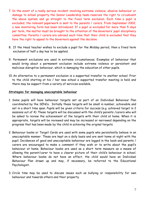- 7. In the event of a really serious incident involving extreme violence, abusive behaviour or damage to school property the Senior Leadership team reserves the right to circumvent the above system and go straight to the fixed term exclusion. Each time a pupil is excluded, the relevant paperwork is sent to the parents / carers. From September 2002, a new monitoring form has been introduced. If a pupil is excluded for more than 5 days per term, the matter must be brought to the attention of the Governors' pupil disciplinary committee. Parents / carers are advised each time that their child is excluded that they have the right to appeal to the Governors against the decision.
- 8. If the Head teacher wishes to exclude a pupil for the Midday period, then a fixed term exclusion of half a day has to be applied.
- 9. Permanent exclusions are used in extreme circumstances. Examples of behaviour that would bring about a permanent exclusion include extreme violence or persistent and malicious disruptive behaviour, which is damaging the education of other pupils.
- 10. An alternative to a permanent exclusion is a supported transfer to another school. Prior to the child starting at his / her new school a supported transfer meeting is held and there may be support from a variety of services available.

#### **Strategies for managing unacceptable behaviour**

- 1. Some pupils will have behaviour targets set as part of an Individual Behaviour Plan coordinated by the SENCo. Initially these targets will be small in number, achievable and set in a short time span. Pupils will be given criteria for success (e.g. achieved target in 2 sessions out of 4) These targets will be discussed with the child's parents /carers who will be asked to review the achievement of the targets with their child at home. When it is appropriate, targets will be reviewed and may be increased or narrowed depending on the progress that has been made by the child in achieving the original targets.
- 2. Behaviour books or Target Cards are used with some pupils who persistently behave in an unacceptable manner. These are kept on a daily basis and are sent home at night with the pupil. Incidences of good and unacceptable behaviour are logged in the book and parents / carers are encouraged to make a comment if they wish or to write about the pupil's behaviour at home. Behaviour books are used as a short term measure as a means of allowing the parent/carer to have a clearer picture of their child's behaviour in school. Where behaviour books do not have an effect, the child would have an Individual Behaviour Plan drawn up and may, if necessary, be referred to the Educational Psychologist.
- 3. Circle time may be used to discuss issues such as bullying or responsibility for own behaviour and towards others and their property.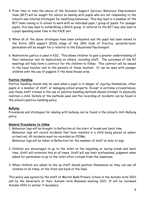- 4. From time to time the advice of the Inclusion Support Service/ Behaviour Improvement team (BIT) will be sought for advice on dealing with pupils who are not responding to the school's own internal strategies for modifying behaviour. This may lead to a member of the BIT team coming in to school to work with an individual pupil / group of pupils. For younger pupils, this may lead to establishing a BOSS group. A referral to the BIT may also lead to a pupil spending some time in the PACE unit.
- 5. When all of the above strategies have been exhausted and the pupil has been moved to the Extra SEN support (ESS) stage of the SEN Code of Practice, parental/carer permission will be sought for a referral to the Educational Psychologist.
- 6. Restorative justice is used in KS2. This allows children to gain a greater understanding of their behaviour and its implications on others, including staff. The outcomes of the RJ meetings will help form a contract for the children to follow. This contract will be issued to the head teacher and to the parents of those involved. It can be used with younger children with the use of puppets if the need should arise.

#### **Positive Handling**

Positive handling should only be used when a pupil is in danger of injuring themselves, other pupils or a member of staff, or damaging school property. Except in extreme circumstances, only those staff trained in the use of positive handling methods should attempt to physically restrain a child. Details of the methods used and the recording of incidents can be found in the school's positive handling policy.

#### **Bullying**

Procedures and strategies for dealing with bullying can be found in the school's Anti-Bullying policy.

#### **General Procedures to follow**

- 1. Behaviour logs will be brought to Reflection at the start of break and lunch time. Behaviour logs will record incidents that have resulted in a child being placed on amber or/and red. All incidents must be recorded on CPOMs. Behaviour logs will be taken to Reflection for the member of staff on duty to sign.
- 2. Children are encouraged to go to the toilet at the beginning or during break and lunch time. Staff will reiterate this at all times. Staff will use their professional judgment when asked for permission to go to the toilet after a break from the classroom.
- 3. When children are asked to line up staff should position themselves so they can see all children at all times, at the front and back of the lines.

This policy was agreed by the staff of Merton Bank Primary School in the Autumn term 2021 and by the Governors at their Autumn term Business meeting 2021. It will be reviewed Autumn 2022 or earlier if necessary.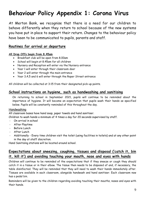### **Behaviour Policy Appendix 1: Corona Virus**

At Merton Bank, we recognise that there is a need for our children to behave differently when they return to school because of the new systems you have put in place to support their return. Changes to the behaviour policy have been to be communicated to pupils, parents and staff.

#### **Routines for arrival or departure**

#### **All Drop Offs begin from 8.45am**

- Breakfast club will be open from 8.00am
- School will begin at 8.45am for all children
- Nursery and Reception will enter via the Nursery entrance
- Year 1 will enter through their classroom door
- Year 2 will enter through the main entrance
- Year 3,4,5 and 6 will enter through the Roper Street entrance

All children will be collected at 3:15 from their designated pick-up points.

#### **School instructions on hygiene, such as handwashing and sanitising**

On returning to school in September 2021, pupils will continue to be reminded about the importance of hygiene. It will become an expectation that pupils wash their hands as specified below. Pupils will be constantly reminded of this throughout the day.

#### Handwashing

All classroom bases have hand soap, paper towels and hand sanitiser.

Children to wash hands a minimum of 4 times a day for 20 seconds supervised by staff.

- On arrival in school
- After Playtime
- Before Lunch
- After Lunch
- Additionally Every time children visit the toilet (using facilities in toilets) and at any other point in the day at staff discretion.

Hand Sanitising stations will be located around school.

#### **Expectations about sneezing, coughing, tissues and disposal ('catch it, bin it, kill it') and avoiding touching your mouth, nose and eyes with hands**

Children will continue to be reminded of the expectations that if they sneeze or cough they should catch it in a tissue or in their elbow. The tissue then needs to be disposed of and, if necessary, the table disinfected. They will be reminded that they will need to wash their hands immediately after. Tissues are available in each classroom, alongside handwash and hand sanitiser. Each classroom now has a pedal bin.

Reminders will be given to the children regarding avoiding touching their mouths, noses and eyes with their hands.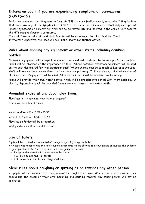#### **Inform an adult if you are experiencing symptoms of coronavirus (COVID-19)**

Pupils are reminded that they must inform staff if they are feeling unwell, especially if they believe that they have any of the symptoms of COVID-19. If a child or a member of staff displays signs of illness/ symptoms of Coronavirus, they are to be moved into and isolated in the office next door to the HT's room and parents contacted.

The child/member of staff and their families will be encouraged to take a test for Covid. If the test is positive, the Head will call Public Health for further advice.

#### **Rules about sharing any equipment or other items including drinking bottles**

Classroom equipment will be kept to a minimum and must not be shared between pupils/other Bubbles. Pupils will be informed of the importance of this. Where possible, classroom equipment will be kept on the desk designated for that particular pupil. Where shared resources (such as Laptops) are used, staff will ensure they are sanitised before they are put away. In Early Years, a limited number of classroom areas/equipment will be used. All resources used must be sanitised each evening.

Pupils will provide their own water bottle, which will be brought into school with them each day. A plastic, disposable cup will be provided for anyone who forgets their water bottle.

#### **Amended expectations about play times**

Playtimes in the morning have been staggered.

There will be 2 break times

Year 1 and Year 2 – 10.15 – 10.30 Year 3, 4, 5 and 6 – 10.30 – 10.45 Playtime on Friday will be altogether. Wet playtimes will be spent in class.

#### **Use of toilets**

Pupils will be notified and reminded of changes regarding using the toilet.

ANY pupil who needs to use the toilet during lesson time will be allowed to go but please encourage the children to go at playtimes etc. Don't stop any child from going to the toilet

- Reception/Nursery Pupils to use own toilet block
- KS1 Pupils to use KS1 Hall toilets
- KS2 to use main toilets near Playground door.

#### **Clear rules about coughing or spitting at or towards any other person**

All pupils will be reminded that coughs must be caught in a tissue. Where this is not possible, they should use the crook of their arm. Coughing and spitting towards any other person will not be tolerated.